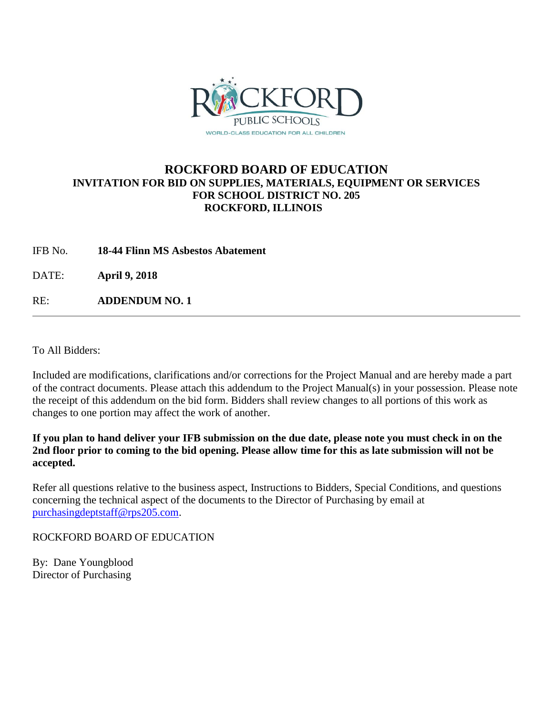

# **ROCKFORD BOARD OF EDUCATION INVITATION FOR BID ON SUPPLIES, MATERIALS, EQUIPMENT OR SERVICES FOR SCHOOL DISTRICT NO. 205 ROCKFORD, ILLINOIS**

IFB No. **18-44 Flinn MS Asbestos Abatement**

DATE: **April 9, 2018**

RE: **ADDENDUM NO. 1**

To All Bidders:

Included are modifications, clarifications and/or corrections for the Project Manual and are hereby made a part of the contract documents. Please attach this addendum to the Project Manual(s) in your possession. Please note the receipt of this addendum on the bid form. Bidders shall review changes to all portions of this work as changes to one portion may affect the work of another.

**If you plan to hand deliver your IFB submission on the due date, please note you must check in on the 2nd floor prior to coming to the bid opening. Please allow time for this as late submission will not be accepted.**

Refer all questions relative to the business aspect, Instructions to Bidders, Special Conditions, and questions concerning the technical aspect of the documents to the Director of Purchasing by email at [purchasingdeptstaff@rps205.com.](mailto:purchasingdeptstaff@rps205.com)

ROCKFORD BOARD OF EDUCATION

By: Dane Youngblood Director of Purchasing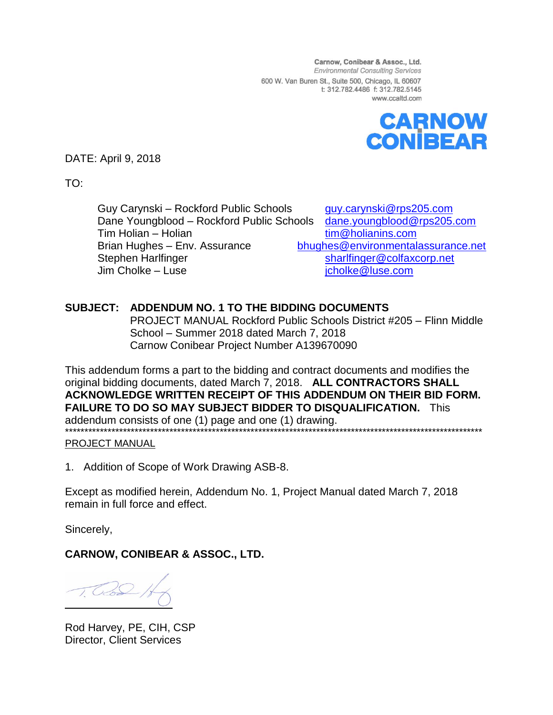Carnow, Conibear & Assoc., Ltd. **Environmental Consulting Services** 600 W. Van Buren St., Suite 500, Chicago, IL 60607 t: 312.782.4486 f: 312.782.5145 www.ccaltd.com



DATE: April 9, 2018

TO:

Guy Carynski – Rockford Public Schools [guy.carynski@rps205.com](mailto:guy.carynski@rps205.com) Dane Youngblood – Rockford Public Schools [dane.youngblood@rps205.com](mailto:dane.youngblood@rps205.com) Tim Holian – Holian [tim@holianins.com](mailto:tim@holianins.com) Brian Hughes – Env. Assurance [bhughes@environmentalassurance.net](mailto:bhughes@environmentalassurance.net) Stephen Harlfinger [sharlfinger@colfaxcorp.net](mailto:sharlfinger@colfaxcorp.net) Jim Cholke – Luse in the state of the state of the state of the state of the state of the state of the state of the state of the state of the state of the state of the state of the state of the state of the state of the st

# **SUBJECT: ADDENDUM NO. 1 TO THE BIDDING DOCUMENTS**

PROJECT MANUAL Rockford Public Schools District #205 – Flinn Middle School – Summer 2018 dated March 7, 2018 Carnow Conibear Project Number A139670090

This addendum forms a part to the bidding and contract documents and modifies the original bidding documents, dated March 7, 2018. **ALL CONTRACTORS SHALL ACKNOWLEDGE WRITTEN RECEIPT OF THIS ADDENDUM ON THEIR BID FORM. FAILURE TO DO SO MAY SUBJECT BIDDER TO DISQUALIFICATION.** This addendum consists of one (1) page and one (1) drawing. \*\*\*\*\*\*\*\*\*\*\*\*\*\*\*\*\*\*\*\*\*\*\*\*\*\*\*\*\*\*\*\*\*\*

## PROJECT MANUAL

1. Addition of Scope of Work Drawing ASB-8.

Except as modified herein, Addendum No. 1, Project Manual dated March 7, 2018 remain in full force and effect.

Sincerely,

**CARNOW, CONIBEAR & ASSOC., LTD.**

Rod Harvey, PE, CIH, CSP Director, Client Services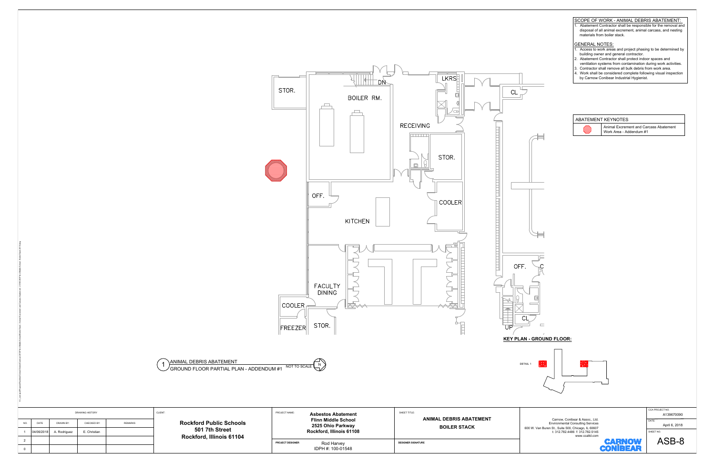

- 
- 
- 
- 

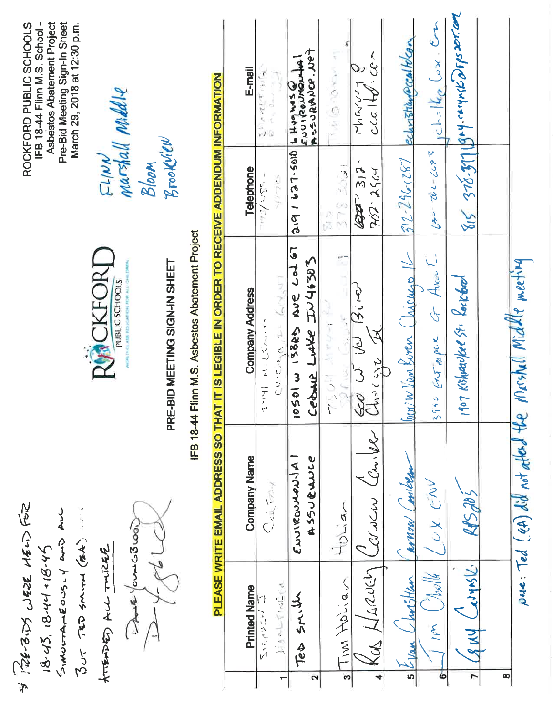| Asbestos Abatement Project<br>Pre-Bid Meeting Sign-In Sheet<br>ROCKFORD PUBLIC SCHOOLS<br>IFB 18-44 Flinn M.S. School-<br>March 29, 2018 at 12:30 p.m. | marshall naked ve<br>$E1/\mu\mathcal{N}$ | Brookliew<br>Bloom            |                                                                                                                                              | E-mail<br>Telephone    | $\vec{r}$<br>$\frac{1}{2} \frac{1}{2} \left[ \frac{\rho \cdot \mathcal{A} \left( \frac{\mathcal{A}}{\mathcal{A}} \right) \left( \frac{\mathcal{A}}{\mathcal{A}} \right)}{2 \pi \epsilon} \right]$<br>ועודי -<br>こんこ | ASSORANCE. APP<br>₫<br>ENUITED TO NOT<br>Je Hughes<br>0105-129161 | <b>IN ALCOHOLOGY</b>                            | $\sim$ $CC$<br>דרי ניתר<br>$C$ $C$ $C$<br>7<br>31 | echristian eccalitican        | $0 \times 10^{-16}$ kg $\omega x \times 2$<br>$55-20$ | $815 - 376 - 371$ $194 -$ carywith porposition         |                                  |  |
|--------------------------------------------------------------------------------------------------------------------------------------------------------|------------------------------------------|-------------------------------|----------------------------------------------------------------------------------------------------------------------------------------------|------------------------|---------------------------------------------------------------------------------------------------------------------------------------------------------------------------------------------------------------------|-------------------------------------------------------------------|-------------------------------------------------|---------------------------------------------------|-------------------------------|-------------------------------------------------------|--------------------------------------------------------|----------------------------------|--|
|                                                                                                                                                        |                                          |                               |                                                                                                                                              |                        |                                                                                                                                                                                                                     |                                                                   | 378 3091<br>公司                                  | $722 - 2964$<br><b>RATT</b>                       | $312 - 296 - 187$             |                                                       |                                                        |                                  |  |
|                                                                                                                                                        | RMCKFORT<br>PUBLIC SCHOOLS               | PRE-BID MEETING SIGN-IN SHEET | PLEASE WRITE EMAIL ADDRESS SO THAT IT IS LEGIBLE IN ORDER TO RECEIVE ADDENDUM INFORMATION<br>IFB 18-44 Flinn M.S. Asbestos Abatement Project | <b>Company Address</b> | 60kT<br>CUICAGA ILL<br>r - (VJ - VJ - Tr 2                                                                                                                                                                          | Lo167<br>JU46303<br>AUC<br>13825<br>Ceball Luke<br>10501 w        | Ť<br><b>Contract</b><br>ò<br>$\frac{1}{1}$<br>x | $\frac{1}{2}$<br>S<br>See u                       | $\ln w$ Vim Buren (Inicurs 16 | Aven<br>$3990$ GNT mpul G                             | 107 Kishwaukee St. Lockbool                            | Meshall Middle meeting           |  |
|                                                                                                                                                        |                                          |                               |                                                                                                                                              | <b>Company Name</b>    | $Q_{\text{el}}$ , $\epsilon_{\text{max}}$                                                                                                                                                                           | CLUSICOMENSIA<br><b>455004000</b>                                 | Holian                                          | will<br>WUCKU                                     | miben<br>Walkan               | UX ENV                                                | $R\mathbf{y}^2 > R\mathbf{y}^2$                        | pue: Ted (eA) did not atland the |  |
| Se-3.25 WESE HELD FOR<br>SINDCTATEONS.Y AND ALL<br>But TED SMITH (BA)<br>$18 - 43$ , $18 - 44 + 18 - 45$                                               | te Yours Coup<br>ATTENDED ALL TUDER      |                               |                                                                                                                                              | <b>Printed Name</b>    | HORLYNGER<br>いっかいこう<br>$\overline{\phantom{0}}$                                                                                                                                                                     | そんい<br>Tes<br>2                                                   | Tim Holian<br>S                                 | MARIEN<br>$\preccurlyeq$<br>4                     | Justlan<br>-Van<br>5          | $\frac{1}{\sqrt{2}}$<br>$\mathcal{L}$<br>ó            | adynsk.<br>$\overline{\phantom{a}}$<br><b>AMA</b><br>r | $\infty$                         |  |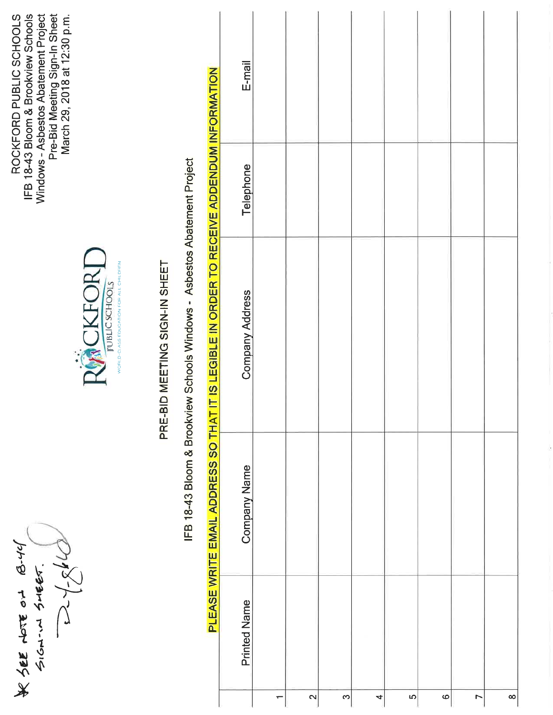WSEE NOTE ON B.44



IFB 18-43 Bloom & Brookview Schools

ROCKFORD PUBLIC SCHOOLS

Windows - Asbestos Abatement Project<br>Pre-Bid Meeting Sign-In Sheet<br>March 29, 2018 at 12:30 p.m.

# PRE-BID MEETING SIGN-IN SHEET

IFB 18-43 Bloom & Brookview Schools Windows - Asbestos Abatement Project

 $E$ -mail PLEASE WRITE EMAIL ADDRESS SO THAT IT IS LEGIBLE IN ORDER TO RECEIVE ADDENDUM INFORMATION Telephone **Company Address Company Name Printed Name**  $\mathbf{\Omega}$  $\infty$ <u>In</u>  $\circ$  $\overline{a}$  $\infty$ 4 ÷